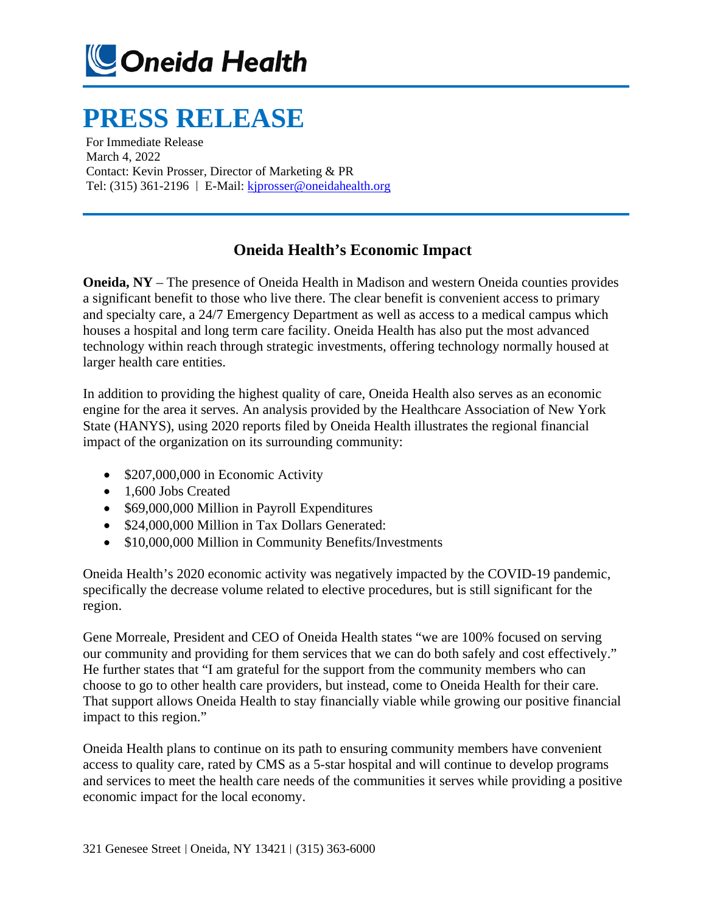

## **PRESS RELEASE**

For Immediate Release March 4, 2022 Contact: Kevin Prosser, Director of Marketing & PR Tel: (315) 361-2196 | E-Mail: [kjprosser@oneidahealth.org](mailto:kjprosser@oneidahealth.org)

## **Oneida Health's Economic Impact**

**Oneida, NY** – The presence of Oneida Health in Madison and western Oneida counties provides a significant benefit to those who live there. The clear benefit is convenient access to primary and specialty care, a 24/7 Emergency Department as well as access to a medical campus which houses a hospital and long term care facility. Oneida Health has also put the most advanced technology within reach through strategic investments, offering technology normally housed at larger health care entities.

In addition to providing the highest quality of care, Oneida Health also serves as an economic engine for the area it serves. An analysis provided by the Healthcare Association of New York State (HANYS), using 2020 reports filed by Oneida Health illustrates the regional financial impact of the organization on its surrounding community:

- \$207,000,000 in Economic Activity
- 1,600 Jobs Created
- \$69,000,000 Million in Payroll Expenditures
- \$24,000,000 Million in Tax Dollars Generated:
- \$10,000,000 Million in Community Benefits/Investments

Oneida Health's 2020 economic activity was negatively impacted by the COVID-19 pandemic, specifically the decrease volume related to elective procedures, but is still significant for the region.

Gene Morreale, President and CEO of Oneida Health states "we are 100% focused on serving our community and providing for them services that we can do both safely and cost effectively." He further states that "I am grateful for the support from the community members who can choose to go to other health care providers, but instead, come to Oneida Health for their care. That support allows Oneida Health to stay financially viable while growing our positive financial impact to this region."

Oneida Health plans to continue on its path to ensuring community members have convenient access to quality care, rated by CMS as a 5-star hospital and will continue to develop programs and services to meet the health care needs of the communities it serves while providing a positive economic impact for the local economy.